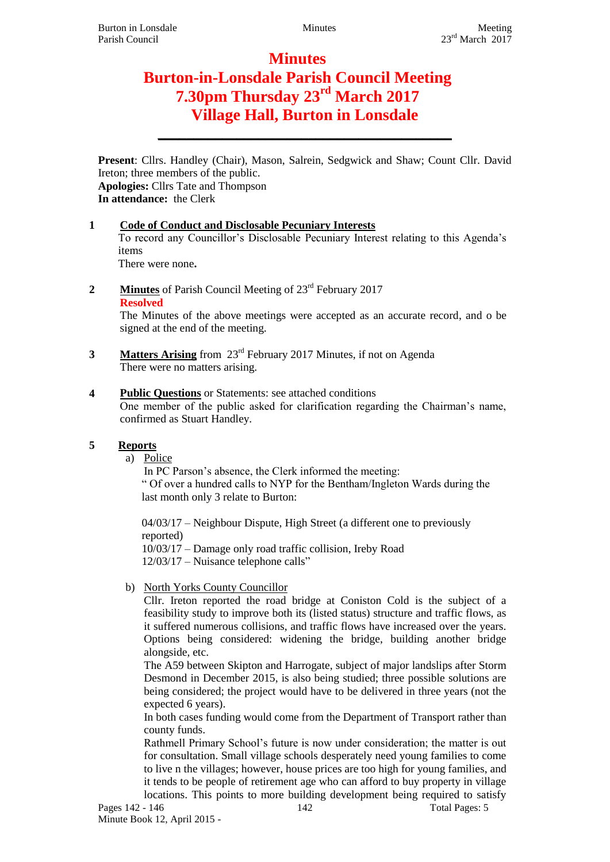# **Minutes Burton-in-Lonsdale Parish Council Meeting 7.30pm Thursday 23rd March 2017 Village Hall, Burton in Lonsdale**

**Present**: Cllrs. Handley (Chair), Mason, Salrein, Sedgwick and Shaw; Count Cllr. David Ireton; three members of the public. **Apologies:** Cllrs Tate and Thompson **In attendance:** the Clerk

**\_\_\_\_\_\_\_\_\_\_\_\_\_\_\_\_\_\_\_\_\_\_\_\_\_\_\_\_\_\_\_\_\_\_\_\_\_\_\_\_\_**

### **1 Code of Conduct and Disclosable Pecuniary Interests**

To record any Councillor's Disclosable Pecuniary Interest relating to this Agenda's items

There were none**.**

2 **Minutes** of Parish Council Meeting of 23<sup>rd</sup> February 2017 **Resolved**

The Minutes of the above meetings were accepted as an accurate record, and o be signed at the end of the meeting.

**3 Matters Arising** from 23rd February 2017 Minutes, if not on Agenda There were no matters arising.

### **4 Public Questions** or Statements: see attached conditions

One member of the public asked for clarification regarding the Chairman's name, confirmed as Stuart Handley.

### **5 Reports**

a) Police

In PC Parson's absence, the Clerk informed the meeting: " Of over a hundred calls to NYP for the Bentham/Ingleton Wards during the last month only 3 relate to Burton:

04/03/17 – Neighbour Dispute, High Street (a different one to previously reported) 10/03/17 – Damage only road traffic collision, Ireby Road

12/03/17 – Nuisance telephone calls"

# b) North Yorks County Councillor

Cllr. Ireton reported the road bridge at Coniston Cold is the subject of a feasibility study to improve both its (listed status) structure and traffic flows, as it suffered numerous collisions, and traffic flows have increased over the years. Options being considered: widening the bridge, building another bridge alongside, etc.

The A59 between Skipton and Harrogate, subject of major landslips after Storm Desmond in December 2015, is also being studied; three possible solutions are being considered; the project would have to be delivered in three years (not the expected 6 years).

In both cases funding would come from the Department of Transport rather than county funds.

Rathmell Primary School's future is now under consideration; the matter is out for consultation. Small village schools desperately need young families to come to live n the villages; however, house prices are too high for young families, and it tends to be people of retirement age who can afford to buy property in village locations. This points to more building development being required to satisfy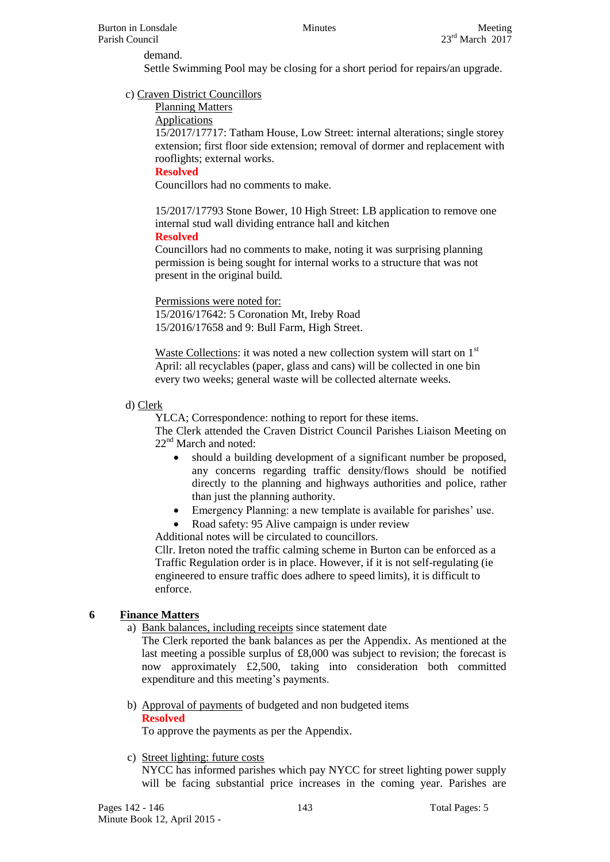demand.

Settle Swimming Pool may be closing for a short period for repairs/an upgrade.

### c) Craven District Councillors

Planning Matters

#### Applications

15/2017/17717: Tatham House, Low Street: internal alterations; single storey extension; first floor side extension; removal of dormer and replacement with rooflights; external works.

#### **Resolved**

Councillors had no comments to make.

15/2017/17793 Stone Bower, 10 High Street: LB application to remove one internal stud wall dividing entrance hall and kitchen **Resolved**

Councillors had no comments to make, noting it was surprising planning permission is being sought for internal works to a structure that was not present in the original build.

Permissions were noted for: 15/2016/17642: 5 Coronation Mt, Ireby Road

15/2016/17658 and 9: Bull Farm, High Street.

Waste Collections: it was noted a new collection system will start on 1<sup>st</sup> April: all recyclables (paper, glass and cans) will be collected in one bin every two weeks; general waste will be collected alternate weeks.

### d) Clerk

YLCA; Correspondence: nothing to report for these items.

The Clerk attended the Craven District Council Parishes Liaison Meeting on 22<sup>nd</sup> March and noted:

- should a building development of a significant number be proposed, any concerns regarding traffic density/flows should be notified directly to the planning and highways authorities and police, rather than just the planning authority.
- Emergency Planning: a new template is available for parishes' use.
- Road safety: 95 Alive campaign is under review

Additional notes will be circulated to councillors.

Cllr. Ireton noted the traffic calming scheme in Burton can be enforced as a Traffic Regulation order is in place. However, if it is not self-regulating (ie engineered to ensure traffic does adhere to speed limits), it is difficult to enforce.

### **6 Finance Matters**

a) Bank balances, including receipts since statement date

The Clerk reported the bank balances as per the Appendix. As mentioned at the last meeting a possible surplus of £8,000 was subject to revision; the forecast is now approximately £2,500, taking into consideration both committed expenditure and this meeting's payments.

b) Approval of payments of budgeted and non budgeted items

#### **Resolved**

To approve the payments as per the Appendix.

### c) Street lighting: future costs

NYCC has informed parishes which pay NYCC for street lighting power supply will be facing substantial price increases in the coming year. Parishes are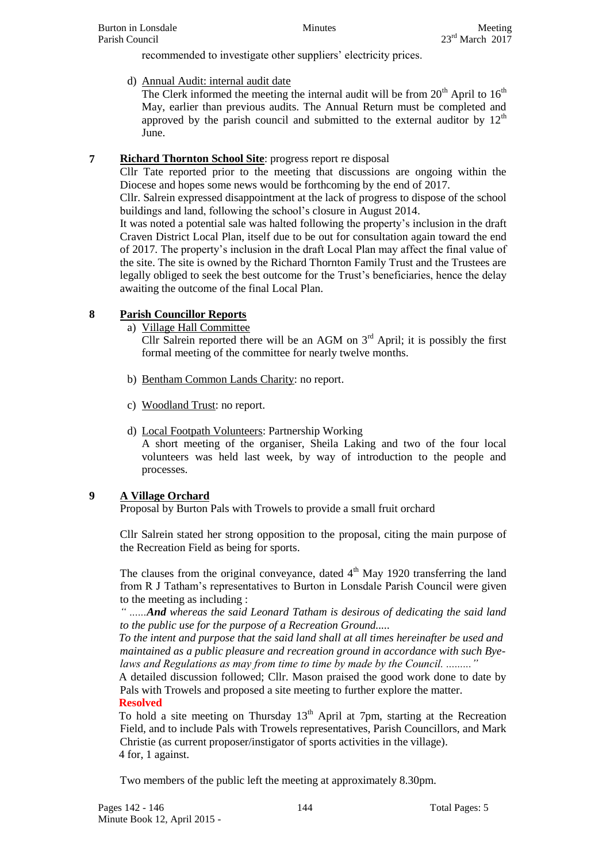recommended to investigate other suppliers' electricity prices.

d) Annual Audit: internal audit date

The Clerk informed the meeting the internal audit will be from  $20<sup>th</sup>$  April to  $16<sup>th</sup>$ May, earlier than previous audits. The Annual Return must be completed and approved by the parish council and submitted to the external auditor by  $12<sup>th</sup>$ June.

# **7 Richard Thornton School Site**: progress report re disposal

Cllr Tate reported prior to the meeting that discussions are ongoing within the Diocese and hopes some news would be forthcoming by the end of 2017.

Cllr. Salrein expressed disappointment at the lack of progress to dispose of the school buildings and land, following the school's closure in August 2014.

It was noted a potential sale was halted following the property's inclusion in the draft Craven District Local Plan, itself due to be out for consultation again toward the end of 2017. The property's inclusion in the draft Local Plan may affect the final value of the site. The site is owned by the Richard Thornton Family Trust and the Trustees are legally obliged to seek the best outcome for the Trust's beneficiaries, hence the delay awaiting the outcome of the final Local Plan.

# **8 Parish Councillor Reports**

a) Village Hall Committee

Cllr Salrein reported there will be an AGM on  $3<sup>rd</sup>$  April; it is possibly the first formal meeting of the committee for nearly twelve months.

- b) Bentham Common Lands Charity: no report.
- c) Woodland Trust: no report.
- d) Local Footpath Volunteers: Partnership Working

A short meeting of the organiser, Sheila Laking and two of the four local volunteers was held last week, by way of introduction to the people and processes.

### **9 A Village Orchard**

Proposal by Burton Pals with Trowels to provide a small fruit orchard

Cllr Salrein stated her strong opposition to the proposal, citing the main purpose of the Recreation Field as being for sports.

The clauses from the original conveyance, dated  $4<sup>th</sup>$  May 1920 transferring the land from R J Tatham's representatives to Burton in Lonsdale Parish Council were given to the meeting as including :

*" ......And whereas the said Leonard Tatham is desirous of dedicating the said land to the public use for the purpose of a Recreation Ground.....* 

*To the intent and purpose that the said land shall at all times hereinafter be used and maintained as a public pleasure and recreation ground in accordance with such Byelaws and Regulations as may from time to time by made by the Council. ........."*

A detailed discussion followed; Cllr. Mason praised the good work done to date by Pals with Trowels and proposed a site meeting to further explore the matter. **Resolved**

#### To hold a site meeting on Thursday  $13<sup>th</sup>$  April at 7pm, starting at the Recreation Field, and to include Pals with Trowels representatives, Parish Councillors, and Mark Christie (as current proposer/instigator of sports activities in the village). 4 for, 1 against.

Two members of the public left the meeting at approximately 8.30pm.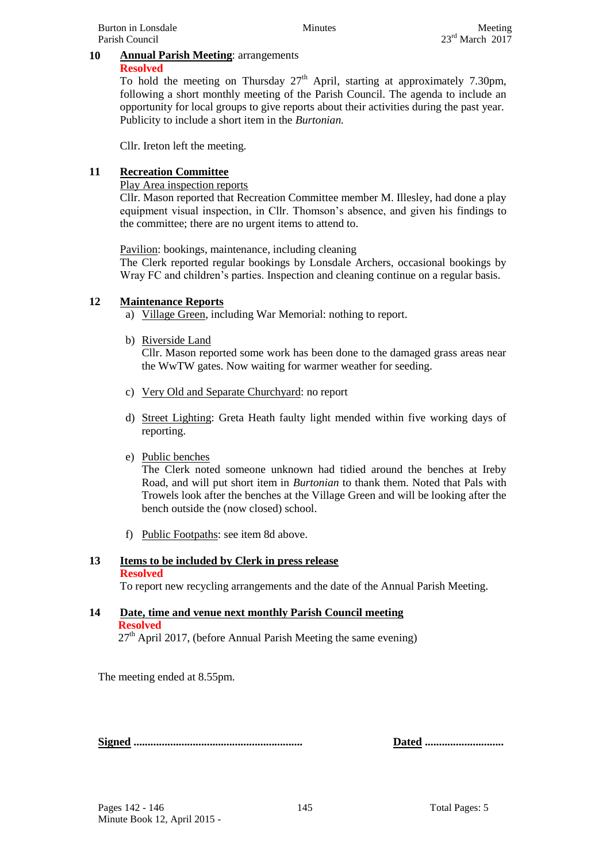# **10 Annual Parish Meeting**: arrangements

#### **Resolved**

To hold the meeting on Thursday  $27<sup>th</sup>$  April, starting at approximately 7.30pm, following a short monthly meeting of the Parish Council. The agenda to include an opportunity for local groups to give reports about their activities during the past year. Publicity to include a short item in the *Burtonian.*

Cllr. Ireton left the meeting.

### **11 Recreation Committee**

Play Area inspection reports

Cllr. Mason reported that Recreation Committee member M. Illesley, had done a play equipment visual inspection, in Cllr. Thomson's absence, and given his findings to the committee; there are no urgent items to attend to.

Pavilion: bookings, maintenance, including cleaning

The Clerk reported regular bookings by Lonsdale Archers, occasional bookings by Wray FC and children's parties. Inspection and cleaning continue on a regular basis.

# **12 Maintenance Reports**

- a) Village Green, including War Memorial: nothing to report.
- b) Riverside Land

Cllr. Mason reported some work has been done to the damaged grass areas near the WwTW gates. Now waiting for warmer weather for seeding.

- c) Very Old and Separate Churchyard: no report
- d) Street Lighting: Greta Heath faulty light mended within five working days of reporting.
- e) Public benches

The Clerk noted someone unknown had tidied around the benches at Ireby Road, and will put short item in *Burtonian* to thank them. Noted that Pals with Trowels look after the benches at the Village Green and will be looking after the bench outside the (now closed) school.

f) Public Footpaths: see item 8d above.

# **13 Items to be included by Clerk in press release**

### **Resolved**

To report new recycling arrangements and the date of the Annual Parish Meeting.

### **14 Date, time and venue next monthly Parish Council meeting Resolved**

 $27<sup>th</sup>$  April 2017, (before Annual Parish Meeting the same evening)

The meeting ended at 8.55pm.

**Signed ............................................................ Dated ............................**